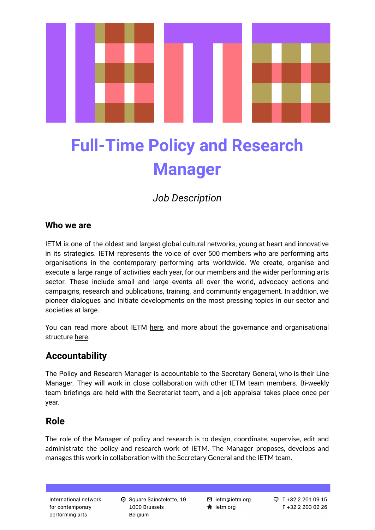

# **Full-Time Policy and Research Manager**

*Job Description*

### **Who we are**

IETM is one of the oldest and largest global cultural networks, young at heart and innovative in its strategies. IETM represents the voice of over 500 members who are performing arts organisations in the contemporary performing arts worldwide. We create, organise and execute a large range of activities each year, for our members and the wider performing arts sector. These include small and large events all over the world, advocacy actions and campaigns, research and publications, training, and community engagement. In addition, we pioneer dialogues and initiate developments on the most pressing topics in our sector and societies at large.

You can read more about IETM [here](http://www.ietm.org/about), and more about the governance and organisational structure [here.](https://www.ietm.org/sites/default/files/attachements/news/2021%20-%20IETM%20Governance%20and%20Organisational%20Structure%20document.pdf)

## **Accountability**

The Policy and Research Manager is accountable to the Secretary General, who is their Line Manager. They will work in close collaboration with other IETM team members. Bi-weekly team briefings are held with the Secretariat team, and a job appraisal takes place once per year.

## **Role**

The role of the Manager of policy and research is to design, coordinate, supervise, edit and administrate the policy and research work of IETM. The Manager proposes, develops and manages this work in collaboration with the Secretary General and the IETM team.

International network for contemporary performing arts

**D** Square Sainctelette, 19 1000 Brussels Belgium

**⊠** ietm@ietm.org  $\bigstar$  ietm.org

 $Q$  T +32 2 201 09 15 F+32 2 203 02 26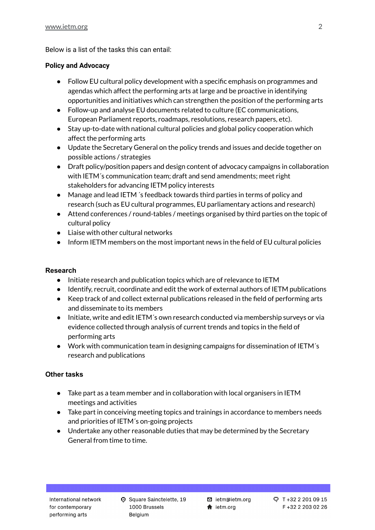Below is a list of the tasks this can entail:

#### **Policy and Advocacy**

- Follow EU cultural policy development with a specific emphasis on programmes and agendas which affect the performing arts at large and be proactive in identifying opportunities and initiatives which can strengthen the position of the performing arts
- Follow-up and analyse EU documents related to culture (EC communications, European Parliament reports, roadmaps, resolutions, research papers, etc).
- Stay up-to-date with national cultural policies and global policy cooperation which affect the performing arts
- Update the Secretary General on the policy trends and issues and decide together on possible actions / strategies
- Draft policy/position papers and design content of advocacy campaigns in collaboration with IETM´s communication team; draft and send amendments; meet right stakeholders for advancing IETM policy interests
- Manage and lead IETM 's feedback towards third parties in terms of policy and research (such as EU cultural programmes, EU parliamentary actions and research)
- Attend conferences / round-tables / meetings organised by third parties on the topic of cultural policy
- Liaise with other cultural networks
- Inform IETM members on the most important news in the field of EU cultural policies

#### **Research**

- Initiate research and publication topics which are of relevance to IETM
- Identify, recruit, coordinate and edit the work of external authors of IETM publications
- Keep track of and collect external publications released in the field of performing arts and disseminate to its members
- Initiate, write and edit IETM's own research conducted via membership surveys or via evidence collected through analysis of current trends and topics in the field of performing arts
- Work with communication team in designing campaigns for dissemination of IETM´s research and publications

#### **Other tasks**

- Take part as a team member and in collaboration with local organisers in IETM meetings and activities
- Take part in conceiving meeting topics and trainings in accordance to members needs and priorities of IETM´s on-going projects
- Undertake any other reasonable duties that may be determined by the Secretary General from time to time.

C Square Sainctelette, 19 1000 Brussels Belgium

⊠ ietm@ietm.org  $\bigstar$  ietm.org

Q T+32 2 201 09 15 F +32 2 203 02 26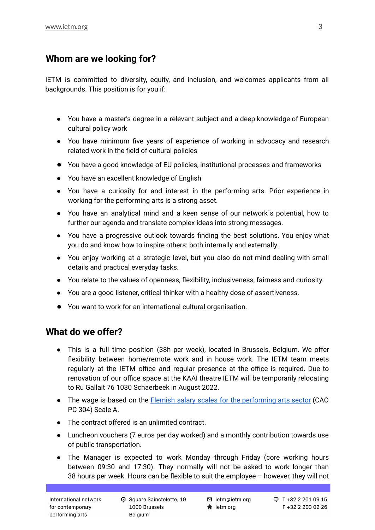## **Whom are we looking for?**

IETM is committed to diversity, equity, and inclusion, and welcomes applicants from all backgrounds. This position is for you if:

- You have a master's degree in a relevant subject and a deep knowledge of European cultural policy work
- You have minimum five years of experience of working in advocacy and research related work in the field of cultural policies
- You have a good knowledge of EU policies, institutional processes and frameworks
- You have an excellent knowledge of English
- You have a curiosity for and interest in the performing arts. Prior experience in working for the performing arts is a strong asset.
- You have an analytical mind and a keen sense of our network´s potential, how to further our agenda and translate complex ideas into strong messages.
- You have a progressive outlook towards finding the best solutions. You enjoy what you do and know how to inspire others: both internally and externally.
- You enjoy working at a strategic level, but you also do not mind dealing with small details and practical everyday tasks.
- You relate to the values of openness, flexibility, inclusiveness, fairness and curiosity.
- You are a good listener, critical thinker with a healthy dose of assertiveness.
- You want to work for an international cultural organisation.

## **What do we offer?**

- This is a full time position (38h per week), located in Brussels, Belgium. We offer flexibility between home/remote work and in house work. The IETM team meets regularly at the IETM office and regular presence at the office is required. Due to renovation of our office space at the KAAI theatre IETM will be temporarily relocating to Ru Gallait 76 1030 Schaerbeek in August 2022.
- The wage is based on the Flemish salary scales for the [performing](https://wp.assets.sh/uploads/sites/6023/2020/06/Baremas-podiumkunsten-4m-vanaf-juni-2022.pdf) arts sector (CAO PC 304) Scale A.
- The contract offered is an unlimited contract.
- Luncheon vouchers (7 euros per day worked) and a monthly contribution towards use of public transportation.
- The Manager is expected to work Monday through Friday (core working hours between 09:30 and 17:30). They normally will not be asked to work longer than 38 hours per week. Hours can be flexible to suit the employee – however, they will not

**D** Square Sainctelette, 19 1000 Brussels Belgium

**⊠** ietm@ietm.org  $\bigstar$  ietm.org